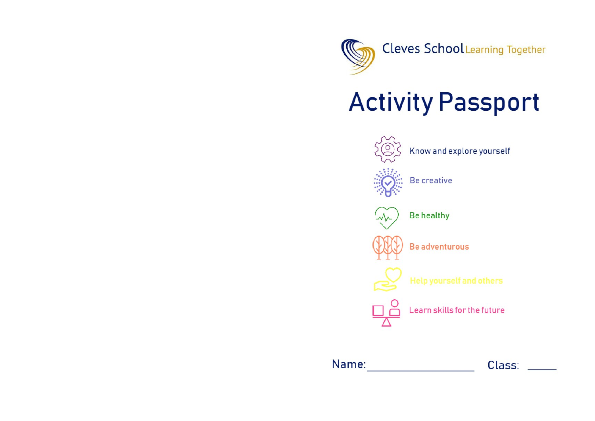

## **Activity Passport**